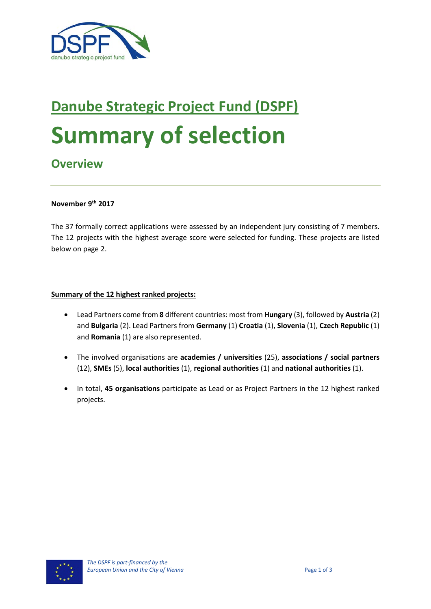

# **Danube Strategic Project Fund (DSPF) Summary of selection**

# **Overview**

#### **November 9th 2017**

The 37 formally correct applications were assessed by an independent jury consisting of 7 members. The 12 projects with the highest average score were selected for funding. These projects are listed below on page 2.

#### **Summary of the 12 highest ranked projects:**

- Lead Partners come from **8** different countries: most from **Hungary** (3), followed by **Austria** (2) and **Bulgaria** (2). Lead Partners from **Germany** (1) **Croatia** (1), **Slovenia** (1), **Czech Republic** (1) and **Romania** (1) are also represented.
- The involved organisations are **academies / universities** (25), **associations / social partners** (12), **SMEs** (5), **local authorities** (1), **regional authorities** (1) and **national authorities** (1).
- In total, **45 organisations** participate as Lead or as Project Partners in the 12 highest ranked projects.

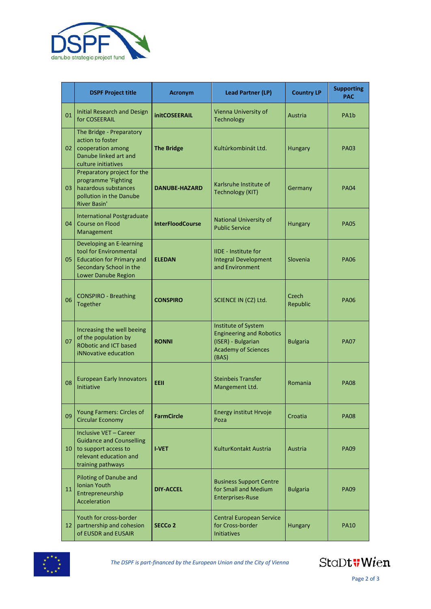

|    | <b>DSPF Project title</b>                                                                                                                | <b>Acronym</b>          | <b>Lead Partner (LP)</b>                                                                                            | <b>Country LP</b> | <b>Supporting</b><br><b>PAC</b> |
|----|------------------------------------------------------------------------------------------------------------------------------------------|-------------------------|---------------------------------------------------------------------------------------------------------------------|-------------------|---------------------------------|
| 01 | <b>Initial Research and Design</b><br>for COSEERAIL                                                                                      | <b>initCOSEERAIL</b>    | Vienna University of<br>Technology                                                                                  | Austria           | PA1 <sub>b</sub>                |
| 02 | The Bridge - Preparatory<br>action to foster<br>cooperation among<br>Danube linked art and<br>culture initiatives                        | <b>The Bridge</b>       | Kultúrkombinát Ltd.                                                                                                 | Hungary           | <b>PA03</b>                     |
| 03 | Preparatory project for the<br>programme 'Fighting<br>hazardous substances<br>pollution in the Danube<br><b>River Basin'</b>             | <b>DANUBE-HAZARD</b>    | Karlsruhe Institute of<br><b>Technology (KIT)</b>                                                                   | Germany           | <b>PA04</b>                     |
| 04 | <b>International Postgraduate</b><br><b>Course on Flood</b><br>Management                                                                | <b>InterFloodCourse</b> | National University of<br><b>Public Service</b>                                                                     | Hungary           | <b>PA05</b>                     |
| 05 | Developing an E-learning<br>tool for Environmental<br><b>Education for Primary and</b><br>Secondary School in the<br>Lower Danube Region | <b>ELEDAN</b>           | <b>IIDE</b> - Institute for<br><b>Integral Development</b><br>and Environment                                       | Slovenia          | <b>PA06</b>                     |
| 06 | <b>CONSPIRO - Breathing</b><br>Together                                                                                                  | <b>CONSPIRO</b>         | SCIENCE IN (CZ) Ltd.                                                                                                | Czech<br>Republic | <b>PA06</b>                     |
| 07 | Increasing the well beeing<br>of the population by<br><b>RObotic and ICT based</b><br>iNNovative education                               | <b>RONNI</b>            | Institute of System<br><b>Engineering and Robotics</b><br>(ISER) - Bulgarian<br><b>Academy of Sciences</b><br>(BAS) | <b>Bulgaria</b>   | <b>PA07</b>                     |
| 08 | <b>European Early Innovators</b><br><b>Initiative</b>                                                                                    | <b>EEII</b>             | <b>Steinbeis Transfer</b><br>Mangement Ltd.                                                                         | Romania           | <b>PA08</b>                     |
| 09 | Young Farmers: Circles of<br><b>Circular Economy</b>                                                                                     | <b>FarmCircle</b>       | Energy institut Hrvoje<br>Poza                                                                                      | Croatia           | <b>PA08</b>                     |
| 10 | Inclusive VET - Career<br><b>Guidance and Counselling</b><br>to support access to<br>relevant education and<br>training pathways         | <b>I-VET</b>            | KulturKontakt Austria                                                                                               | Austria           | <b>PA09</b>                     |
| 11 | Piloting of Danube and<br><b>Ionian Youth</b><br>Entrepreneurship<br>Acceleration                                                        | <b>DIY-ACCEL</b>        | <b>Business Support Centre</b><br>for Small and Medium<br><b>Enterprises-Ruse</b>                                   | <b>Bulgaria</b>   | <b>PA09</b>                     |
| 12 | Youth for cross-border<br>partnership and cohesion<br>of EUSDR and EUSAIR                                                                | SECCo <sub>2</sub>      | <b>Central European Service</b><br>for Cross-border<br><b>Initiatives</b>                                           | Hungary           | <b>PA10</b>                     |